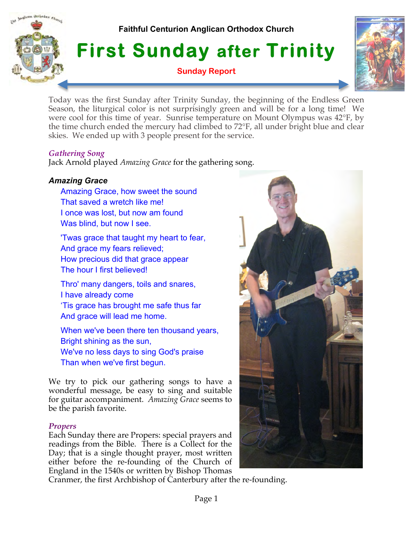**Faithful Centurion Anglican Orthodox Church**

**First Sunday after Trinity** 

**Sunday Report**



Today was the first Sunday after Trinity Sunday, the beginning of the Endless Green Season, the liturgical color is not surprisingly green and will be for a long time! We were cool for this time of year. Sunrise temperature on Mount Olympus was 42°F, by the time church ended the mercury had climbed to 72°F, all under bright blue and clear skies. We ended up with 3 people present for the service.

## *Gathering Song*

Indican Orthodox ehmet

Jack Arnold played *Amazing Grace* for the gathering song.

## *Amazing Grace*

Amazing Grace, how sweet the sound That saved a wretch like me! I once was lost, but now am found Was blind, but now I see.

'Twas grace that taught my heart to fear, And grace my fears relieved; How precious did that grace appear The hour I first believed!

Thro' many dangers, toils and snares, I have already come 'Tis grace has brought me safe thus far And grace will lead me home.

When we've been there ten thousand years, Bright shining as the sun, We've no less days to sing God's praise Than when we've first begun.

We try to pick our gathering songs to have a wonderful message, be easy to sing and suitable for guitar accompaniment. *Amazing Grace* seems to be the parish favorite.

## *Propers*

Each Sunday there are Propers: special prayers and readings from the Bible. There is a Collect for the Day; that is a single thought prayer, most written either before the re-founding of the Church of England in the 1540s or written by Bishop Thomas



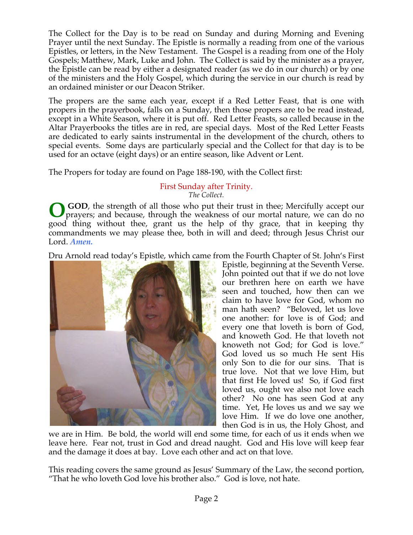The Collect for the Day is to be read on Sunday and during Morning and Evening Prayer until the next Sunday. The Epistle is normally a reading from one of the various Epistles, or letters, in the New Testament. The Gospel is a reading from one of the Holy Gospels; Matthew, Mark, Luke and John. The Collect is said by the minister as a prayer, the Epistle can be read by either a designated reader (as we do in our church) or by one of the ministers and the Holy Gospel, which during the service in our church is read by an ordained minister or our Deacon Striker.

The propers are the same each year, except if a Red Letter Feast, that is one with propers in the prayerbook, falls on a Sunday, then those propers are to be read instead, except in a White Season, where it is put off. Red Letter Feasts, so called because in the Altar Prayerbooks the titles are in red, are special days. Most of the Red Letter Feasts are dedicated to early saints instrumental in the development of the church, others to special events. Some days are particularly special and the Collect for that day is to be used for an octave (eight days) or an entire season, like Advent or Lent.

The Propers for today are found on Page 188-190, with the Collect first:

## First Sunday after Trinity.

*The Collect.*

 **GOD**, the strength of all those who put their trust in thee; Mercifully accept our prayers; and because, through the weakness of our mortal nature, we can do no good thing without thee, grant us the help of thy grace, that in keeping thy commandments we may please thee, both in will and deed; through Jesus Christ our Lord. *Amen.* **O**

Dru Arnold read today's Epistle, which came from the Fourth Chapter of St. John's First



Epistle, beginning at the Seventh Verse. John pointed out that if we do not love our brethren here on earth we have seen and touched, how then can we claim to have love for God, whom no man hath seen? "Beloved, let us love one another: for love is of God; and every one that loveth is born of God, and knoweth God. He that loveth not knoweth not God; for God is love." God loved us so much He sent His only Son to die for our sins. That is true love. Not that we love Him, but that first He loved us! So, if God first loved us, ought we also not love each other? No one has seen God at any time. Yet, He loves us and we say we love Him. If we do love one another, then God is in us, the Holy Ghost, and

we are in Him. Be bold, the world will end some time, for each of us it ends when we leave here. Fear not, trust in God and dread naught. God and His love will keep fear and the damage it does at bay. Love each other and act on that love.

This reading covers the same ground as Jesus' Summary of the Law, the second portion, "That he who loveth God love his brother also." God is love, not hate.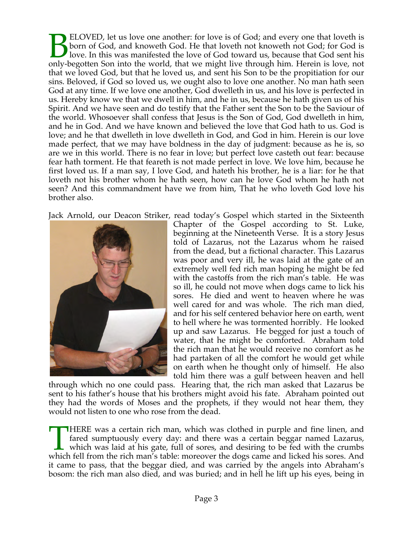ELOVED, let us love one another: for love is of God; and every one that loveth is born of God, and knoweth God. He that loveth not knoweth not God; for God is love. In this was manifested the love of God toward us, because that God sent his **ELOVED**, let us love one another: for love is of God; and every one that loveth is loven of God, and knoweth God. He that loveth not knoweth not God; for God is love. In this was manifested the love of God toward us, beca that we loved God, but that he loved us, and sent his Son to be the propitiation for our sins. Beloved, if God so loved us, we ought also to love one another. No man hath seen God at any time. If we love one another, God dwelleth in us, and his love is perfected in us. Hereby know we that we dwell in him, and he in us, because he hath given us of his Spirit. And we have seen and do testify that the Father sent the Son to be the Saviour of the world. Whosoever shall confess that Jesus is the Son of God, God dwelleth in him, and he in God. And we have known and believed the love that God hath to us. God is love; and he that dwelleth in love dwelleth in God, and God in him. Herein is our love made perfect, that we may have boldness in the day of judgment: because as he is, so are we in this world. There is no fear in love; but perfect love casteth out fear: because fear hath torment. He that feareth is not made perfect in love. We love him, because he first loved us. If a man say, I love God, and hateth his brother, he is a liar: for he that loveth not his brother whom he hath seen, how can he love God whom he hath not seen? And this commandment have we from him, That he who loveth God love his brother also.

Jack Arnold, our Deacon Striker, read today's Gospel which started in the Sixteenth



Chapter of the Gospel according to St. Luke, beginning at the Nineteenth Verse. It is a story Jesus told of Lazarus, not the Lazarus whom he raised from the dead, but a fictional character. This Lazarus was poor and very ill, he was laid at the gate of an extremely well fed rich man hoping he might be fed with the castoffs from the rich man's table. He was so ill, he could not move when dogs came to lick his sores. He died and went to heaven where he was well cared for and was whole. The rich man died, and for his self centered behavior here on earth, went to hell where he was tormented horribly. He looked up and saw Lazarus. He begged for just a touch of water, that he might be comforted. Abraham told the rich man that he would receive no comfort as he had partaken of all the comfort he would get while on earth when he thought only of himself. He also told him there was a gulf between heaven and hell

through which no one could pass. Hearing that, the rich man asked that Lazarus be sent to his father's house that his brothers might avoid his fate. Abraham pointed out they had the words of Moses and the prophets, if they would not hear them, they would not listen to one who rose from the dead.

HERE was a certain rich man, which was clothed in purple and fine linen, and fared sumptuously every day: and there was a certain beggar named Lazarus, which was laid at his gate, full of sores, and desiring to be fed with the crumbs HERE was a certain rich man, which was clothed in purple and fine linen, and fared sumptuously every day: and there was a certain beggar named Lazarus, which was laid at his gate, full of sores, and desiring to be fed with it came to pass, that the beggar died, and was carried by the angels into Abraham's bosom: the rich man also died, and was buried; and in hell he lift up his eyes, being in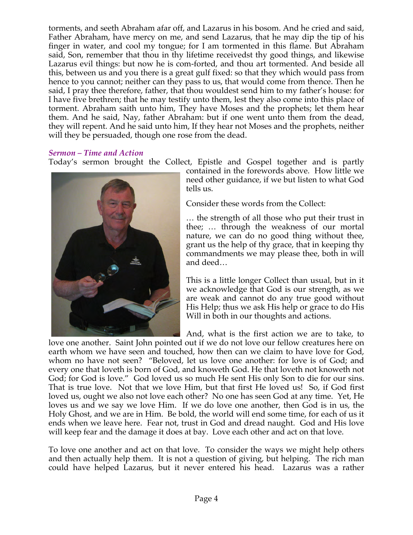torments, and seeth Abraham afar off, and Lazarus in his bosom. And he cried and said, Father Abraham, have mercy on me, and send Lazarus, that he may dip the tip of his finger in water, and cool my tongue; for I am tormented in this flame. But Abraham said, Son, remember that thou in thy lifetime receivedst thy good things, and likewise Lazarus evil things: but now he is com-forted, and thou art tormented. And beside all this, between us and you there is a great gulf fixed: so that they which would pass from hence to you cannot; neither can they pass to us, that would come from thence. Then he said, I pray thee therefore, father, that thou wouldest send him to my father's house: for I have five brethren; that he may testify unto them, lest they also come into this place of torment. Abraham saith unto him, They have Moses and the prophets; let them hear them. And he said, Nay, father Abraham: but if one went unto them from the dead, they will repent. And he said unto him, If they hear not Moses and the prophets, neither will they be persuaded, though one rose from the dead.

#### *Sermon – Time and Action*

Today's sermon brought the Collect, Epistle and Gospel together and is partly



contained in the forewords above. How little we need other guidance, if we but listen to what God tells us.

Consider these words from the Collect:

… the strength of all those who put their trust in thee; … through the weakness of our mortal nature, we can do no good thing without thee, grant us the help of thy grace, that in keeping thy commandments we may please thee, both in will and deed…

This is a little longer Collect than usual, but in it we acknowledge that God is our strength, as we are weak and cannot do any true good without His Help; thus we ask His help or grace to do His Will in both in our thoughts and actions.

And, what is the first action we are to take, to

love one another. Saint John pointed out if we do not love our fellow creatures here on earth whom we have seen and touched, how then can we claim to have love for God, whom no have not seen? "Beloved, let us love one another: for love is of God; and every one that loveth is born of God, and knoweth God. He that loveth not knoweth not God; for God is love." God loved us so much He sent His only Son to die for our sins. That is true love. Not that we love Him, but that first He loved us! So, if God first loved us, ought we also not love each other? No one has seen God at any time. Yet, He loves us and we say we love Him. If we do love one another, then God is in us, the Holy Ghost, and we are in Him. Be bold, the world will end some time, for each of us it ends when we leave here. Fear not, trust in God and dread naught. God and His love will keep fear and the damage it does at bay. Love each other and act on that love.

To love one another and act on that love. To consider the ways we might help others and then actually help them. It is not a question of giving, but helping. The rich man could have helped Lazarus, but it never entered his head. Lazarus was a rather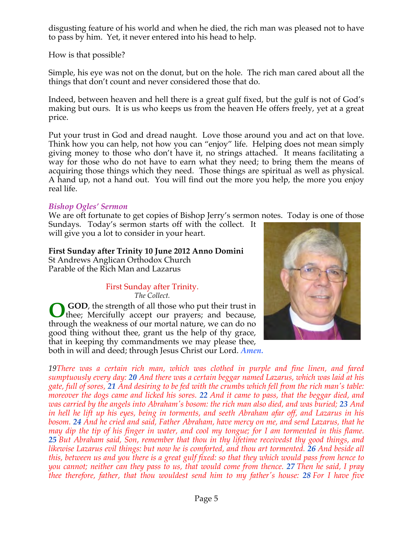disgusting feature of his world and when he died, the rich man was pleased not to have to pass by him. Yet, it never entered into his head to help.

How is that possible?

Simple, his eye was not on the donut, but on the hole. The rich man cared about all the things that don't count and never considered those that do.

Indeed, between heaven and hell there is a great gulf fixed, but the gulf is not of God's making but ours. It is us who keeps us from the heaven He offers freely, yet at a great price.

Put your trust in God and dread naught. Love those around you and act on that love. Think how you can help, not how you can "enjoy" life. Helping does not mean simply giving money to those who don't have it, no strings attached. It means facilitating a way for those who do not have to earn what they need; to bring them the means of acquiring those things which they need. Those things are spiritual as well as physical. A hand up, not a hand out. You will find out the more you help, the more you enjoy real life.

## *Bishop Ogles' Sermon*

We are oft fortunate to get copies of Bishop Jerry's sermon notes. Today is one of those

Sundays. Today's sermon starts off with the collect. It will give you a lot to consider in your heart.

# **First Sunday after Trinity 10 June 2012 Anno Domini**

St Andrews Anglican Orthodox Church Parable of the Rich Man and Lazarus

#### First Sunday after Trinity. *The Collect.*

 **GOD**, the strength of all those who put their trust in thee; Mercifully accept our prayers; and because, through the weakness of our mortal nature, we can do no good thing without thee, grant us the help of thy grace, that in keeping thy commandments we may please thee, both in will and deed; through Jesus Christ our Lord. *Amen.* **O**



19There was a certain rich man, which was clothed in purple and fine linen, and fared *sumptuously every day: 20 And there was a certain beggar named Lazarus, which was laid at his gate, full of sores, 21 And desiring to be fed with the crumbs which fell from the rich man's table: moreover the dogs came and licked his sores. 22 And it came to pass, that the beggar died, and was carried by the angels into Abraham's bosom: the rich man also died, and was buried; 23 And in hell he lift up his eyes, being in torments, and seeth Abraham afar off, and Lazarus in his bosom. 24 And he cried and said, Father Abraham, have mercy on me, and send Lazarus, that he may dip the tip of his finger in water, and cool my tongue; for I am tormented in this flame. 25 But Abraham said, Son, remember that thou in thy lifetime receivedst thy good things, and likewise Lazarus evil things: but now he is comforted, and thou art tormented. 26 And beside all this, between us and you there is a great gulf fixed: so that they which would pass from hence to you cannot; neither can they pass to us, that would come from thence. 27 Then he said, I pray thee therefore, father, that thou wouldest send him to my father's house: 28 For I have five*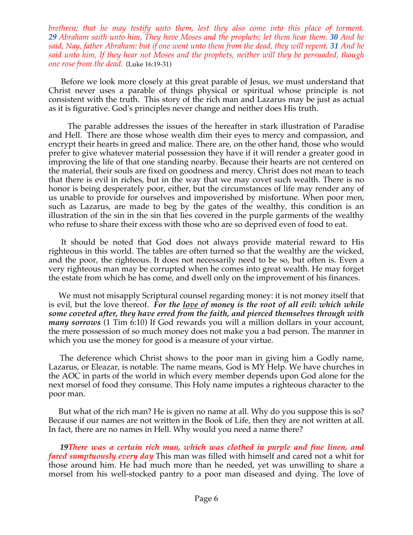*brethren; that he may testify unto them, lest they also come into this place of torment. 29 Abraham saith unto him, They have Moses and the prophets; let them hear them. 30 And he said, Nay, father Abraham: but if one went unto them from the dead, they will repent. 31 And he said unto him, If they hear not Moses and the prophets, neither will they be persuaded, though one rose from the dead*. (Luke 16:19-31)

 Before we look more closely at this great parable of Jesus, we must understand that Christ never uses a parable of things physical or spiritual whose principle is not consistent with the truth. This story of the rich man and Lazarus may be just as actual as it is figurative. God's principles never change and neither does His truth.

 The parable addresses the issues of the hereafter in stark illustration of Paradise and Hell. There are those whose wealth dim their eyes to mercy and compassion, and encrypt their hearts in greed and malice. There are, on the other hand, those who would prefer to give whatever material possession they have if it will render a greater good in improving the life of that one standing nearby. Because their hearts are not centered on the material, their souls are fixed on goodness and mercy. Christ does not mean to teach that there is evil in riches, but in the way that we may covet such wealth. There is no honor is being desperately poor, either, but the circumstances of life may render any of us unable to provide for ourselves and impoverished by misfortune. When poor men, such as Lazarus, are made to beg by the gates of the wealthy, this condition is an illustration of the sin in the sin that lies covered in the purple garments of the wealthy who refuse to share their excess with those who are so deprived even of food to eat.

 It should be noted that God does not always provide material reward to His righteous in this world. The tables are often turned so that the wealthy are the wicked, and the poor, the righteous. It does not necessarily need to be so, but often is. Even a very righteous man may be corrupted when he comes into great wealth. He may forget the estate from which he has come, and dwell only on the improvement of his finances.

 We must not misapply Scriptural counsel regarding money: it is not money itself that is evil, but the love thereof. *For the love of money is the root of all evil: which while some coveted after, they have erred from the faith, and pierced themselves through with many sorrows* (1 Tim 6:10) If God rewards you will a million dollars in your account, the mere possession of so much money does not make you a bad person. The manner in which you use the money for good is a measure of your virtue.

 The deference which Christ shows to the poor man in giving him a Godly name, Lazarus, or Eleazar, is notable. The name means, God is MY Help. We have churches in the AOC in parts of the world in which every member depends upon God alone for the next morsel of food they consume. This Holy name imputes a righteous character to the poor man.

 But what of the rich man? He is given no name at all. Why do you suppose this is so? Because if our names are not written in the Book of Life, then they are not written at all. In fact, there are no names in Hell. Why would you need a name there?

 *19There was a certain rich man, which was clothed in purple and fine linen, and fared sumptuously every day* This man was filled with himself and cared not a whit for those around him. He had much more than he needed, yet was unwilling to share a morsel from his well-stocked pantry to a poor man diseased and dying. The love of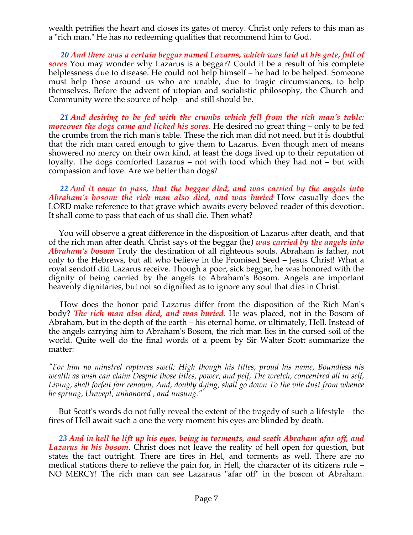wealth petrifies the heart and closes its gates of mercy. Christ only refers to this man as a "rich man." He has no redeeming qualities that recommend him to God.

 *20 And there was a certain beggar named Lazarus, which was laid at his gate, full of sores* You may wonder why Lazarus is a beggar? Could it be a result of his complete helplessness due to disease. He could not help himself – he had to be helped. Someone must help those around us who are unable, due to tragic circumstances, to help themselves. Before the advent of utopian and socialistic philosophy, the Church and Community were the source of help – and still should be.

 *21 And desiring to be fed with the crumbs which fell from the rich man's table: moreover the dogs came and licked his sores.* He desired no great thing – only to be fed the crumbs from the rich man's table. These the rich man did not need, but it is doubtful that the rich man cared enough to give them to Lazarus. Even though men of means showered no mercy on their own kind, at least the dogs lived up to their reputation of loyalty. The dogs comforted Lazarus – not with food which they had not – but with compassion and love. Are we better than dogs?

 *22 And it came to pass, that the beggar died, and was carried by the angels into Abraham's bosom: the rich man also died, and was buried* How casually does the LORD make reference to that grave which awaits every beloved reader of this devotion. It shall come to pass that each of us shall die. Then what?

 You will observe a great difference in the disposition of Lazarus after death, and that of the rich man after death. Christ says of the beggar (he) *was carried by the angels into Abraham's bosom* Truly the destination of all righteous souls. Abraham is father, not only to the Hebrews, but all who believe in the Promised Seed – Jesus Christ! What a royal sendoff did Lazarus receive. Though a poor, sick beggar, he was honored with the dignity of being carried by the angels to Abraham's Bosom. Angels are important heavenly dignitaries, but not so dignified as to ignore any soul that dies in Christ.

 How does the honor paid Lazarus differ from the disposition of the Rich Man's body? *The rich man also died, and was buried*. He was placed, not in the Bosom of Abraham, but in the depth of the earth – his eternal home, or ultimately, Hell. Instead of the angels carrying him to Abraham's Bosom, the rich man lies in the cursed soil of the world. Quite well do the final words of a poem by Sir Walter Scott summarize the matter:

*"For him no minstrel raptures swell; High though his titles, proud his name, Boundless his wealth as wish can claim Despite those titles, power, and pelf, The wretch, concentred all in self, Living, shall forfeit fair renown, And, doubly dying, shall go down To the vile dust from whence he sprung, Unwept, unhonored , and unsung."*

 But Scott's words do not fully reveal the extent of the tragedy of such a lifestyle – the fires of Hell await such a one the very moment his eyes are blinded by death.

 *23 And in hell he lift up his eyes, being in torments, and seeth Abraham afar off, and Lazarus in his bosom.* Christ does not leave the reality of hell open for question, but states the fact outright. There are fires in Hel, and torments as well. There are no medical stations there to relieve the pain for, in Hell, the character of its citizens rule – NO MERCY! The rich man can see Lazaraus "afar off" in the bosom of Abraham.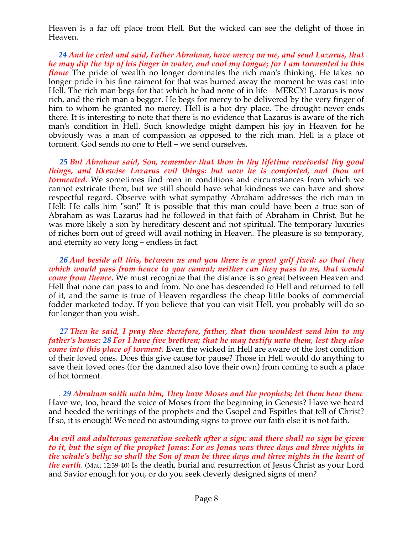Heaven is a far off place from Hell. But the wicked can see the delight of those in Heaven.

 *24 And he cried and said, Father Abraham, have mercy on me, and send Lazarus, that he may dip the tip of his finger in water, and cool my tongue; for I am tormented in this flame* The pride of wealth no longer dominates the rich man's thinking. He takes no longer pride in his fine raiment for that was burned away the moment he was cast into Hell. The rich man begs for that which he had none of in life – MERCY! Lazarus is now rich, and the rich man a beggar. He begs for mercy to be delivered by the very finger of him to whom he granted no mercy. Hell is a hot dry place. The drought never ends there. It is interesting to note that there is no evidence that Lazarus is aware of the rich man's condition in Hell. Such knowledge might dampen his joy in Heaven for he obviously was a man of compassion as opposed to the rich man. Hell is a place of torment. God sends no one to Hell – we send ourselves.

 *25 But Abraham said, Son, remember that thou in thy lifetime receivedst thy good things, and likewise Lazarus evil things: but now he is comforted, and thou art tormented.* We sometimes find men in conditions and circumstances from which we cannot extricate them, but we still should have what kindness we can have and show respectful regard. Observe with what sympathy Abraham addresses the rich man in Hell: He calls him "son!" It is possible that this man could have been a true son of Abraham as was Lazarus had he followed in that faith of Abraham in Christ. But he was more likely a son by hereditary descent and not spiritual. The temporary luxuries of riches born out of greed will avail nothing in Heaven. The pleasure is so temporary, and eternity so very long – endless in fact.

 *26 And beside all this, between us and you there is a great gulf fixed: so that they which would pass from hence to you cannot; neither can they pass to us, that would come from thence.* We must recognize that the distance is so great between Heaven and Hell that none can pass to and from. No one has descended to Hell and returned to tell of it, and the same is true of Heaven regardless the cheap little books of commercial fodder marketed today. If you believe that you can visit Hell, you probably will do so for longer than you wish.

 *27 Then he said, I pray thee therefore, father, that thou wouldest send him to my father's house: 28 For I have five brethren; that he may testify unto them, lest they also come into this place of torment.* Even the wicked in Hell are aware of the lost condition of their loved ones. Does this give cause for pause? Those in Hell would do anything to save their loved ones (for the damned also love their own) from coming to such a place of hot torment.

 *. 29 Abraham saith unto him, They have Moses and the prophets; let them hear them.* Have we, too, heard the voice of Moses from the beginning in Genesis? Have we heard and heeded the writings of the prophets and the Gsopel and Espitles that tell of Christ? If so, it is enough! We need no astounding signs to prove our faith else it is not faith.

*An evil and adulterous generation seeketh after a sign; and there shall no sign be given to it, but the sign of the prophet Jonas: For as Jonas was three days and three nights in the whale's belly; so shall the Son of man be three days and three nights in the heart of the earth*. (Matt 12:39-40) Is the death, burial and resurrection of Jesus Christ as your Lord and Savior enough for you, or do you seek cleverly designed signs of men?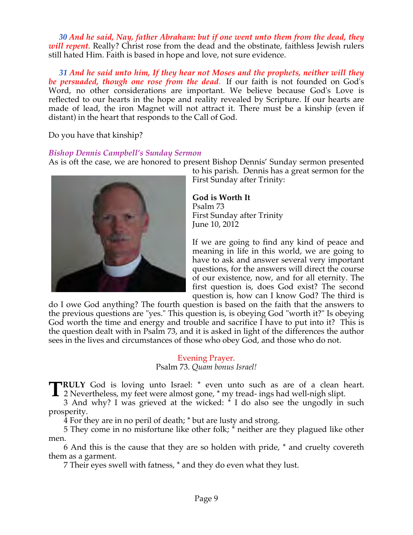*30 And he said, Nay, father Abraham: but if one went unto them from the dead, they will repent.* Really? Christ rose from the dead and the obstinate, faithless Jewish rulers still hated Him. Faith is based in hope and love, not sure evidence.

 *31 And he said unto him, If they hear not Moses and the prophets, neither will they be persuaded, though one rose from the dead*. If our faith is not founded on God's Word, no other considerations are important. We believe because God's Love is reflected to our hearts in the hope and reality revealed by Scripture. If our hearts are made of lead, the iron Magnet will not attract it. There must be a kinship (even if distant) in the heart that responds to the Call of God.

Do you have that kinship?

## *Bishop Dennis Campbell's Sunday Sermon*

As is oft the case, we are honored to present Bishop Dennis' Sunday sermon presented



to his parish. Dennis has a great sermon for the First Sunday after Trinity:

## **God is Worth It**

Psalm 73 First Sunday after Trinity June 10, 2012

If we are going to find any kind of peace and meaning in life in this world, we are going to have to ask and answer several very important questions, for the answers will direct the course of our existence, now, and for all eternity. The first question is, does God exist? The second question is, how can I know God? The third is

do I owe God anything? The fourth question is based on the faith that the answers to the previous questions are "yes." This question is, is obeying God "worth it?" Is obeying God worth the time and energy and trouble and sacrifice I have to put into it? This is the question dealt with in Psalm 73, and it is asked in light of the differences the author sees in the lives and circumstances of those who obey God, and those who do not.

#### Evening Prayer. Psalm 73. *Quam bonus Israel!*

**RULY** God is loving unto Israel: \* even unto such as are of a clean heart. **TRULY** God is loving unto Israel: \* even unto such as are of a clean h 2 Nevertheless, my feet were almost gone, \* my tread- ings had well-nigh slipt.

3 And why? I was grieved at the wicked:  $*$  I do also see the ungodly in such prosperity.

4 For they are in no peril of death; \* but are lusty and strong.

5 They come in no misfortune like other folk; \* neither are they plagued like other men.

6 And this is the cause that they are so holden with pride, \* and cruelty covereth them as a garment.

7 Their eyes swell with fatness, \* and they do even what they lust.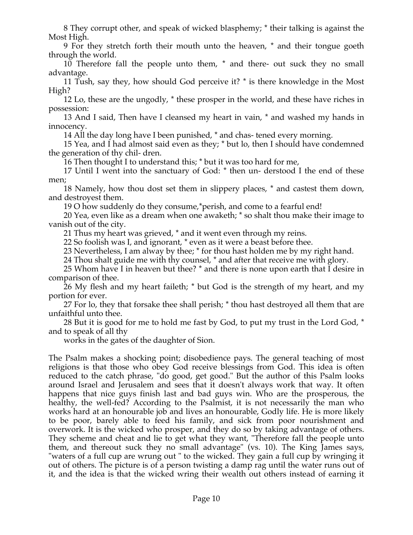8 They corrupt other, and speak of wicked blasphemy; \* their talking is against the Most High.

9 For they stretch forth their mouth unto the heaven, \* and their tongue goeth through the world.

10 Therefore fall the people unto them, \* and there- out suck they no small advantage.

11 Tush, say they, how should God perceive it? \* is there knowledge in the Most High?

12 Lo, these are the ungodly, \* these prosper in the world, and these have riches in possession:

13 And I said, Then have I cleansed my heart in vain, \* and washed my hands in innocency.

14 All the day long have I been punished, \* and chas- tened every morning.

15 Yea, and I had almost said even as they; \* but lo, then I should have condemned the generation of thy chil- dren.

16 Then thought I to understand this; \* but it was too hard for me,

17 Until I went into the sanctuary of God: \* then un- derstood I the end of these men;

18 Namely, how thou dost set them in slippery places, \* and castest them down, and destroyest them.

19 O how suddenly do they consume,\*perish, and come to a fearful end!

20 Yea, even like as a dream when one awaketh; \* so shalt thou make their image to vanish out of the city.

21 Thus my heart was grieved, \* and it went even through my reins.

22 So foolish was I, and ignorant, \* even as it were a beast before thee.

23 Nevertheless, I am alway by thee; \* for thou hast holden me by my right hand.

24 Thou shalt guide me with thy counsel, \* and after that receive me with glory.

25 Whom have I in heaven but thee? \* and there is none upon earth that I desire in comparison of thee.

26 My flesh and my heart faileth; \* but God is the strength of my heart, and my portion for ever.

27 For lo, they that forsake thee shall perish; \* thou hast destroyed all them that are unfaithful unto thee.

28 But it is good for me to hold me fast by God, to put my trust in the Lord God, \* and to speak of all thy

works in the gates of the daughter of Sion.

The Psalm makes a shocking point; disobedience pays. The general teaching of most religions is that those who obey God receive blessings from God. This idea is often reduced to the catch phrase, "do good, get good." But the author of this Psalm looks around Israel and Jerusalem and sees that it doesn't always work that way. It often happens that nice guys finish last and bad guys win. Who are the prosperous, the healthy, the well-fed? According to the Psalmist, it is not necessarily the man who works hard at an honourable job and lives an honourable, Godly life. He is more likely to be poor, barely able to feed his family, and sick from poor nourishment and overwork. It is the wicked who prosper, and they do so by taking advantage of others. They scheme and cheat and lie to get what they want, "Therefore fall the people unto them, and thereout suck they no small advantage" (vs. 10). The King James says, "waters of a full cup are wrung out " to the wicked. They gain a full cup by wringing it out of others. The picture is of a person twisting a damp rag until the water runs out of it, and the idea is that the wicked wring their wealth out others instead of earning it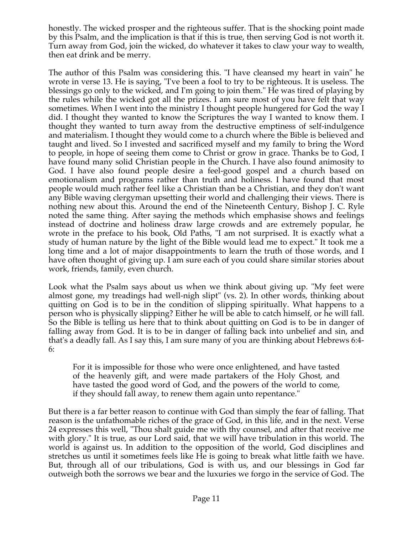honestly. The wicked prosper and the righteous suffer. That is the shocking point made by this Psalm, and the implication is that if this is true, then serving God is not worth it. Turn away from God, join the wicked, do whatever it takes to claw your way to wealth, then eat drink and be merry.

The author of this Psalm was considering this. "I have cleansed my heart in vain" he wrote in verse 13. He is saying, "I've been a fool to try to be righteous. It is useless. The blessings go only to the wicked, and I'm going to join them." He was tired of playing by the rules while the wicked got all the prizes. I am sure most of you have felt that way sometimes. When I went into the ministry I thought people hungered for God the way I did. I thought they wanted to know the Scriptures the way I wanted to know them. I thought they wanted to turn away from the destructive emptiness of self-indulgence and materialism. I thought they would come to a church where the Bible is believed and taught and lived. So I invested and sacrificed myself and my family to bring the Word to people, in hope of seeing them come to Christ or grow in grace. Thanks be to God, I have found many solid Christian people in the Church. I have also found animosity to God. I have also found people desire a feel-good gospel and a church based on emotionalism and programs rather than truth and holiness. I have found that most people would much rather feel like a Christian than be a Christian, and they don't want any Bible waving clergyman upsetting their world and challenging their views. There is nothing new about this. Around the end of the Nineteenth Century, Bishop J. C. Ryle noted the same thing. After saying the methods which emphasise shows and feelings instead of doctrine and holiness draw large crowds and are extremely popular, he wrote in the preface to his book, Old Paths, "I am not surprised. It is exactly what a study of human nature by the light of the Bible would lead me to expect." It took me a long time and a lot of major disappointments to learn the truth of those words, and I have often thought of giving up. I am sure each of you could share similar stories about work, friends, family, even church.

Look what the Psalm says about us when we think about giving up. "My feet were almost gone, my treadings had well-nigh slipt" (vs. 2). In other words, thinking about quitting on God is to be in the condition of slipping spiritually. What happens to a person who is physically slipping? Either he will be able to catch himself, or he will fall. So the Bible is telling us here that to think about quitting on God is to be in danger of falling away from God. It is to be in danger of falling back into unbelief and sin, and that's a deadly fall. As I say this, I am sure many of you are thinking about Hebrews 6:4- 6:

For it is impossible for those who were once enlightened, and have tasted of the heavenly gift, and were made partakers of the Holy Ghost, and have tasted the good word of God, and the powers of the world to come, if they should fall away, to renew them again unto repentance."

But there is a far better reason to continue with God than simply the fear of falling. That reason is the unfathomable riches of the grace of God, in this life, and in the next. Verse 24 expresses this well, "Thou shalt guide me with thy counsel, and after that receive me with glory." It is true, as our Lord said, that we will have tribulation in this world. The world is against us. In addition to the opposition of the world, God disciplines and stretches us until it sometimes feels like He is going to break what little faith we have. But, through all of our tribulations, God is with us, and our blessings in God far outweigh both the sorrows we bear and the luxuries we forgo in the service of God. The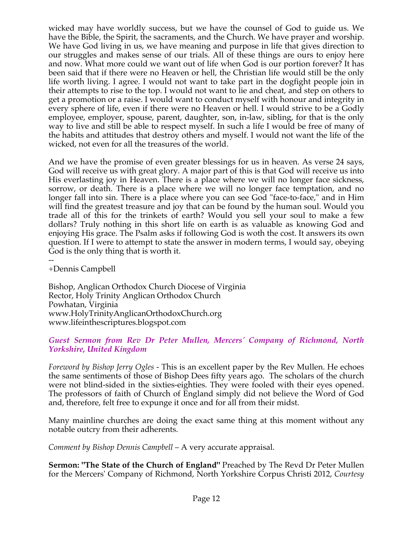wicked may have worldly success, but we have the counsel of God to guide us. We have the Bible, the Spirit, the sacraments, and the Church. We have prayer and worship. We have God living in us, we have meaning and purpose in life that gives direction to our struggles and makes sense of our trials. All of these things are ours to enjoy here and now. What more could we want out of life when God is our portion forever? It has been said that if there were no Heaven or hell, the Christian life would still be the only life worth living. I agree. I would not want to take part in the dogfight people join in their attempts to rise to the top. I would not want to lie and cheat, and step on others to get a promotion or a raise. I would want to conduct myself with honour and integrity in every sphere of life, even if there were no Heaven or hell. I would strive to be a Godly employee, employer, spouse, parent, daughter, son, in-law, sibling, for that is the only way to live and still be able to respect myself. In such a life I would be free of many of the habits and attitudes that destroy others and myself. I would not want the life of the wicked, not even for all the treasures of the world.

And we have the promise of even greater blessings for us in heaven. As verse 24 says, God will receive us with great glory. A major part of this is that God will receive us into His everlasting joy in Heaven. There is a place where we will no longer face sickness, sorrow, or death. There is a place where we will no longer face temptation, and no longer fall into sin. There is a place where you can see God "face-to-face," and in Him will find the greatest treasure and joy that can be found by the human soul. Would you trade all of this for the trinkets of earth? Would you sell your soul to make a few dollars? Truly nothing in this short life on earth is as valuable as knowing God and enjoying His grace. The Psalm asks if following God is woth the cost. It answers its own question. If I were to attempt to state the answer in modern terms, I would say, obeying God is the only thing that is worth it.

-- +Dennis Campbell

Bishop, Anglican Orthodox Church Diocese of Virginia Rector, Holy Trinity Anglican Orthodox Church Powhatan, Virginia www.HolyTrinityAnglicanOrthodoxChurch.org www.lifeinthescriptures.blogspot.com

#### *Guest Sermon from Rev Dr Peter Mullen, Mercers' Company of Richmond, North Yorkshire, United Kingdom*

*Foreword by Bishop Jerry Ogles* - This is an excellent paper by the Rev Mullen. He echoes the same sentiments of those of Bishop Dees fifty years ago. The scholars of the church were not blind-sided in the sixties-eighties. They were fooled with their eyes opened. The professors of faith of Church of England simply did not believe the Word of God and, therefore, felt free to expunge it once and for all from their midst.

Many mainline churches are doing the exact same thing at this moment without any notable outcry from their adherents.

*Comment by Bishop Dennis Campbell* – A very accurate appraisal.

**Sermon: "The State of the Church of England"** Preached by The Revd Dr Peter Mullen for the Mercers' Company of Richmond, North Yorkshire Corpus Christi 2012, *Courtesy*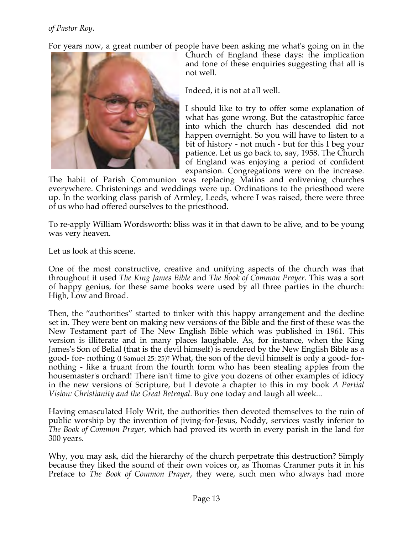For years now, a great number of people have been asking me what's going on in the



Church of England these days: the implication and tone of these enquiries suggesting that all is not well.

Indeed, it is not at all well.

I should like to try to offer some explanation of what has gone wrong. But the catastrophic farce into which the church has descended did not happen overnight. So you will have to listen to a bit of history - not much - but for this I beg your patience. Let us go back to, say, 1958. The Church of England was enjoying a period of confident expansion. Congregations were on the increase.

The habit of Parish Communion was replacing Matins and enlivening churches everywhere. Christenings and weddings were up. Ordinations to the priesthood were up. In the working class parish of Armley, Leeds, where I was raised, there were three of us who had offered ourselves to the priesthood.

To re-apply William Wordsworth: bliss was it in that dawn to be alive, and to be young was very heaven.

Let us look at this scene.

One of the most constructive, creative and unifying aspects of the church was that throughout it used *The King James Bible* and *The Book of Common Prayer*. This was a sort of happy genius, for these same books were used by all three parties in the church: High, Low and Broad.

Then, the "authorities" started to tinker with this happy arrangement and the decline set in. They were bent on making new versions of the Bible and the first of these was the New Testament part of The New English Bible which was published in 1961. This version is illiterate and in many places laughable. As, for instance, when the King James's Son of Belial (that is the devil himself) is rendered by the New English Bible as a good- for- nothing (I Samuel 25: 25)? What, the son of the devil himself is only a good- fornothing - like a truant from the fourth form who has been stealing apples from the housemaster's orchard! There isn't time to give you dozens of other examples of idiocy in the new versions of Scripture, but I devote a chapter to this in my book *A Partial Vision: Christianity and the Great Betrayal*. Buy one today and laugh all week...

Having emasculated Holy Writ, the authorities then devoted themselves to the ruin of public worship by the invention of jiving-for-Jesus, Noddy, services vastly inferior to *The Book of Common Prayer*, which had proved its worth in every parish in the land for 300 years.

Why, you may ask, did the hierarchy of the church perpetrate this destruction? Simply because they liked the sound of their own voices or, as Thomas Cranmer puts it in his Preface to *The Book of Common Prayer*, they were, such men who always had more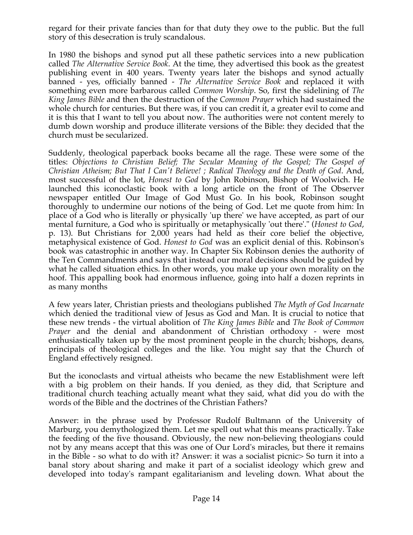regard for their private fancies than for that duty they owe to the public. But the full story of this desecration is truly scandalous.

In 1980 the bishops and synod put all these pathetic services into a new publication called *The Alternative Service Book*. At the time, they advertised this book as the greatest publishing event in 400 years. Twenty years later the bishops and synod actually banned - yes, officially banned - *The Alternative Service Book* and replaced it with something even more barbarous called *Common Worship*. So, first the sidelining of *The King James Bible* and then the destruction of the *Common Prayer* which had sustained the whole church for centuries. But there was, if you can credit it, a greater evil to come and it is this that I want to tell you about now. The authorities were not content merely to dumb down worship and produce illiterate versions of the Bible: they decided that the church must be secularized.

Suddenly, theological paperback books became all the rage. These were some of the titles: *Objections to Christian Belief; The Secular Meaning of the Gospel; The Gospel of Christian Atheism; But That I Can't Believe! ; Radical Theology and the Death of God*. And, most successful of the lot, *Honest to God* by John Robinson, Bishop of Woolwich. He launched this iconoclastic book with a long article on the front of The Observer newspaper entitled Our Image of God Must Go. In his book, Robinson sought thoroughly to undermine our notions of the being of God. Let me quote from him: In place of a God who is literally or physically 'up there' we have accepted, as part of our mental furniture, a God who is spiritually or metaphysically 'out there'." (*Honest to God*, p. 13). But Christians for 2,000 years had held as their core belief the objective, metaphysical existence of God. *Honest to God* was an explicit denial of this. Robinson's book was catastrophic in another way. In Chapter Six Robinson denies the authority of the Ten Commandments and says that instead our moral decisions should be guided by what he called situation ethics. In other words, you make up your own morality on the hoof. This appalling book had enormous influence, going into half a dozen reprints in as many months

A few years later, Christian priests and theologians published *The Myth of God Incarnate*  which denied the traditional view of Jesus as God and Man. It is crucial to notice that these new trends - the virtual abolition of *The King James Bible* and *The Book of Common Prayer* and the denial and abandonment of Christian orthodoxy - were most enthusiastically taken up by the most prominent people in the church; bishops, deans, principals of theological colleges and the like. You might say that the Church of England effectively resigned.

But the iconoclasts and virtual atheists who became the new Establishment were left with a big problem on their hands. If you denied, as they did, that Scripture and traditional church teaching actually meant what they said, what did you do with the words of the Bible and the doctrines of the Christian Fathers?

Answer: in the phrase used by Professor Rudolf Bultmann of the University of Marburg, you demythologized them. Let me spell out what this means practically. Take the feeding of the five thousand. Obviously, the new non-believing theologians could not by any means accept that this was one of Our Lord's miracles, but there it remains in the Bible - so what to do with it? Answer: it was a socialist picnic> So turn it into a banal story about sharing and make it part of a socialist ideology which grew and developed into today's rampant egalitarianism and leveling down. What about the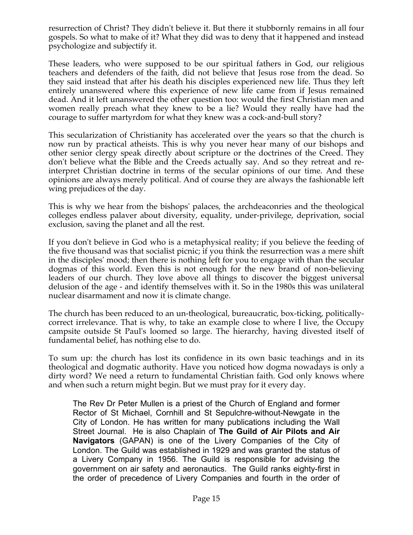resurrection of Christ? They didn't believe it. But there it stubbornly remains in all four gospels. So what to make of it? What they did was to deny that it happened and instead psychologize and subjectify it.

These leaders, who were supposed to be our spiritual fathers in God, our religious teachers and defenders of the faith, did not believe that Jesus rose from the dead. So they said instead that after his death his disciples experienced new life. Thus they left entirely unanswered where this experience of new life came from if Jesus remained dead. And it left unanswered the other question too: would the first Christian men and women really preach what they knew to be a lie? Would they really have had the courage to suffer martyrdom for what they knew was a cock-and-bull story?

This secularization of Christianity has accelerated over the years so that the church is now run by practical atheists. This is why you never hear many of our bishops and other senior clergy speak directly about scripture or the doctrines of the Creed. They don't believe what the Bible and the Creeds actually say. And so they retreat and reinterpret Christian doctrine in terms of the secular opinions of our time. And these opinions are always merely political. And of course they are always the fashionable left wing prejudices of the day.

This is why we hear from the bishops' palaces, the archdeaconries and the theological colleges endless palaver about diversity, equality, under-privilege, deprivation, social exclusion, saving the planet and all the rest.

If you don't believe in God who is a metaphysical reality; if you believe the feeding of the five thousand was that socialist picnic; if you think the resurrection was a mere shift in the disciples' mood; then there is nothing left for you to engage with than the secular dogmas of this world. Even this is not enough for the new brand of non-believing leaders of our church. They love above all things to discover the biggest universal delusion of the age - and identify themselves with it. So in the 1980s this was unilateral nuclear disarmament and now it is climate change.

The church has been reduced to an un-theological, bureaucratic, box-ticking, politicallycorrect irrelevance. That is why, to take an example close to where I live, the Occupy campsite outside St Paul's loomed so large. The hierarchy, having divested itself of fundamental belief, has nothing else to do.

To sum up: the church has lost its confidence in its own basic teachings and in its theological and dogmatic authority. Have you noticed how dogma nowadays is only a dirty word? We need a return to fundamental Christian faith. God only knows where and when such a return might begin. But we must pray for it every day.

The Rev Dr Peter Mullen is a priest of the Church of England and former Rector of St Michael, Cornhill and St Sepulchre-without-Newgate in the City of London. He has written for many publications including the Wall Street Journal. He is also Chaplain of **The Guild of Air Pilots and Air Navigators** (GAPAN) is one of the Livery Companies of the City of London. The Guild was established in 1929 and was granted the status of a Livery Company in 1956. The Guild is responsible for advising the government on air safety and aeronautics. The Guild ranks eighty-first in the order of precedence of Livery Companies and fourth in the order of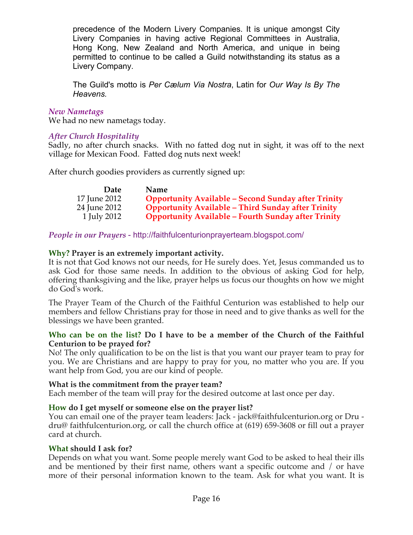precedence of the Modern Livery Companies. It is unique amongst City Livery Companies in having active Regional Committees in Australia, Hong Kong, New Zealand and North America, and unique in being permitted to continue to be called a Guild notwithstanding its status as a Livery Company.

The Guild's motto is *Per Cælum Via Nostra*, Latin for *Our Way Is By The Heavens.*

#### *New Nametags*

We had no new nametags today.

## *After Church Hospitality*

Sadly, no after church snacks. With no fatted dog nut in sight, it was off to the next village for Mexican Food. Fatted dog nuts next week!

After church goodies providers as currently signed up:

| Date         | <b>Name</b>                                                |
|--------------|------------------------------------------------------------|
| 17 June 2012 | <b>Opportunity Available - Second Sunday after Trinity</b> |
| 24 June 2012 | <b>Opportunity Available – Third Sunday after Trinity</b>  |
| 1 July 2012  | <b>Opportunity Available - Fourth Sunday after Trinity</b> |

*People in our Prayers* - http://faithfulcenturionprayerteam.blogspot.com/

#### **Why? Prayer is an extremely important activity.**

It is not that God knows not our needs, for He surely does. Yet, Jesus commanded us to ask God for those same needs. In addition to the obvious of asking God for help, offering thanksgiving and the like, prayer helps us focus our thoughts on how we might do God's work.

The Prayer Team of the Church of the Faithful Centurion was established to help our members and fellow Christians pray for those in need and to give thanks as well for the blessings we have been granted.

#### **Who can be on the list? Do I have to be a member of the Church of the Faithful Centurion to be prayed for?**

No! The only qualification to be on the list is that you want our prayer team to pray for you. We are Christians and are happy to pray for you, no matter who you are. If you want help from God, you are our kind of people.

#### **What is the commitment from the prayer team?**

Each member of the team will pray for the desired outcome at last once per day.

#### **How do I get myself or someone else on the prayer list?**

You can email one of the prayer team leaders: Jack - jack@faithfulcenturion.org or Dru dru@ faithfulcenturion.org, or call the church office at (619) 659-3608 or fill out a prayer card at church.

#### **What should I ask for?**

Depends on what you want. Some people merely want God to be asked to heal their ills and be mentioned by their first name, others want a specific outcome and / or have more of their personal information known to the team. Ask for what you want. It is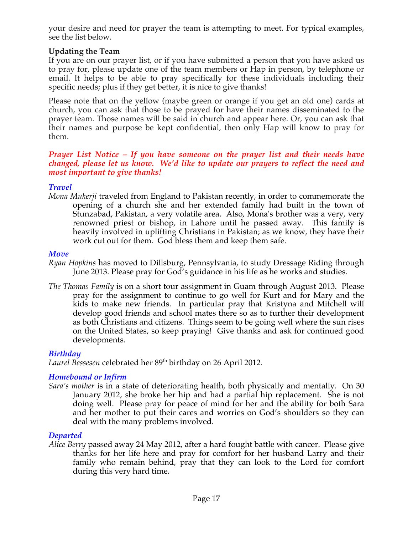your desire and need for prayer the team is attempting to meet. For typical examples, see the list below.

## **Updating the Team**

If you are on our prayer list, or if you have submitted a person that you have asked us to pray for, please update one of the team members or Hap in person, by telephone or email. It helps to be able to pray specifically for these individuals including their specific needs; plus if they get better, it is nice to give thanks!

Please note that on the yellow (maybe green or orange if you get an old one) cards at church, you can ask that those to be prayed for have their names disseminated to the prayer team. Those names will be said in church and appear here. Or, you can ask that their names and purpose be kept confidential, then only Hap will know to pray for them.

#### *Prayer List Notice – If you have someone on the prayer list and their needs have changed, please let us know. We'd like to update our prayers to reflect the need and most important to give thanks!*

## *Travel*

*Mona Mukerji* traveled from England to Pakistan recently, in order to commemorate the opening of a church she and her extended family had built in the town of Stunzabad, Pakistan, a very volatile area. Also, Mona's brother was a very, very renowned priest or bishop, in Lahore until he passed away. This family is heavily involved in uplifting Christians in Pakistan; as we know, they have their work cut out for them. God bless them and keep them safe.

## *Move*

- *Ryan Hopkins* has moved to Dillsburg, Pennsylvania, to study Dressage Riding through June 2013. Please pray for God's guidance in his life as he works and studies.
- *The Thomas Family* is on a short tour assignment in Guam through August 2013. Please pray for the assignment to continue to go well for Kurt and for Mary and the kids to make new friends. In particular pray that Kristyna and Mitchell will develop good friends and school mates there so as to further their development as both Christians and citizens. Things seem to be going well where the sun rises on the United States, so keep praying! Give thanks and ask for continued good developments.

## *Birthday*

Laurel Bessesen celebrated her 89<sup>th</sup> birthday on 26 April 2012.

## *Homebound or Infirm*

*Sara's mother* is in a state of deteriorating health, both physically and mentally. On 30 January 2012, she broke her hip and had a partial hip replacement. She is not doing well. Please pray for peace of mind for her and the ability for both Sara and her mother to put their cares and worries on God's shoulders so they can deal with the many problems involved.

## *Departed*

*Alice Berry* passed away 24 May 2012, after a hard fought battle with cancer. Please give thanks for her life here and pray for comfort for her husband Larry and their family who remain behind, pray that they can look to the Lord for comfort during this very hard time.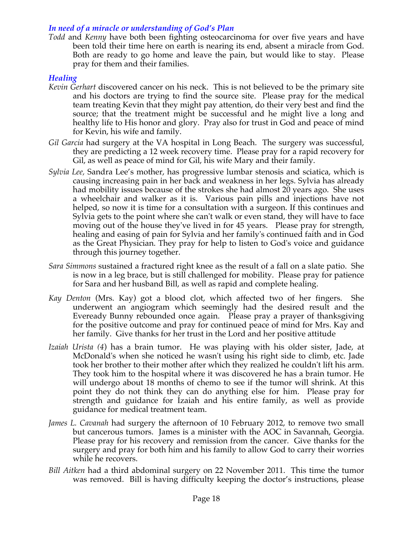## *In need of a miracle or understanding of God's Plan*

*Todd* and *Kenny* have both been fighting osteocarcinoma for over five years and have been told their time here on earth is nearing its end, absent a miracle from God. Both are ready to go home and leave the pain, but would like to stay. Please pray for them and their families.

#### *Healing*

- *Kevin Gerhart* discovered cancer on his neck. This is not believed to be the primary site and his doctors are trying to find the source site. Please pray for the medical team treating Kevin that they might pay attention, do their very best and find the source; that the treatment might be successful and he might live a long and healthy life to His honor and glory. Pray also for trust in God and peace of mind for Kevin, his wife and family.
- *Gil Garcia* had surgery at the VA hospital in Long Beach. The surgery was successful, they are predicting a 12 week recovery time. Please pray for a rapid recovery for Gil, as well as peace of mind for Gil, his wife Mary and their family.
- *Sylvia Lee,* Sandra Lee's mother, has progressive lumbar stenosis and sciatica, which is causing increasing pain in her back and weakness in her legs. Sylvia has already had mobility issues because of the strokes she had almost 20 years ago. She uses a wheelchair and walker as it is. Various pain pills and injections have not helped, so now it is time for a consultation with a surgeon. If this continues and Sylvia gets to the point where she can't walk or even stand, they will have to face moving out of the house they've lived in for 45 years. Please pray for strength, healing and easing of pain for Sylvia and her family's continued faith and in God as the Great Physician. They pray for help to listen to God's voice and guidance through this journey together.
- *Sara Simmons* sustained a fractured right knee as the result of a fall on a slate patio. She is now in a leg brace, but is still challenged for mobility. Please pray for patience for Sara and her husband Bill, as well as rapid and complete healing.
- *Kay Denton* (Mrs. Kay) got a blood clot, which affected two of her fingers. She underwent an angiogram which seemingly had the desired result and the Eveready Bunny rebounded once again. Please pray a prayer of thanksgiving for the positive outcome and pray for continued peace of mind for Mrs. Kay and her family. Give thanks for her trust in the Lord and her positive attitude.
- *Izaiah Urista (4*) has a brain tumor. He was playing with his older sister, Jade, at McDonald's when she noticed he wasn't using his right side to climb, etc. Jade took her brother to their mother after which they realized he couldn't lift his arm. They took him to the hospital where it was discovered he has a brain tumor. He will undergo about 18 months of chemo to see if the tumor will shrink. At this point they do not think they can do anything else for him. Please pray for strength and guidance for Izaiah and his entire family, as well as provide guidance for medical treatment team.
- *James L. Cavanah* had surgery the afternoon of 10 February 2012, to remove two small but cancerous tumors. James is a minister with the AOC in Savannah, Georgia. Please pray for his recovery and remission from the cancer. Give thanks for the surgery and pray for both him and his family to allow God to carry their worries while he recovers.
- *Bill Aitken* had a third abdominal surgery on 22 November 2011. This time the tumor was removed. Bill is having difficulty keeping the doctor's instructions, please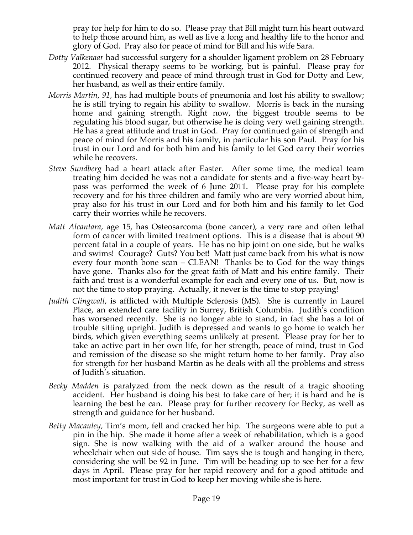pray for help for him to do so. Please pray that Bill might turn his heart outward to help those around him, as well as live a long and healthy life to the honor and glory of God. Pray also for peace of mind for Bill and his wife Sara.

- *Dotty Valkenaar* had successful surgery for a shoulder ligament problem on 28 February 2012. Physical therapy seems to be working, but is painful. Please pray for continued recovery and peace of mind through trust in God for Dotty and Lew, her husband, as well as their entire family.
- *Morris Martin, 91,* has had multiple bouts of pneumonia and lost his ability to swallow; he is still trying to regain his ability to swallow. Morris is back in the nursing home and gaining strength. Right now, the biggest trouble seems to be regulating his blood sugar, but otherwise he is doing very well gaining strength. He has a great attitude and trust in God. Pray for continued gain of strength and peace of mind for Morris and his family, in particular his son Paul. Pray for his trust in our Lord and for both him and his family to let God carry their worries while he recovers.
- *Steve Sundberg* had a heart attack after Easter. After some time, the medical team treating him decided he was not a candidate for stents and a five-way heart bypass was performed the week of 6 June 2011. Please pray for his complete recovery and for his three children and family who are very worried about him, pray also for his trust in our Lord and for both him and his family to let God carry their worries while he recovers.
- *Matt Alcantara*, age 15, has Osteosarcoma (bone cancer), a very rare and often lethal form of cancer with limited treatment options. This is a disease that is about 90 percent fatal in a couple of years. He has no hip joint on one side, but he walks and swims! Courage? Guts? You bet! Matt just came back from his what is now every four month bone scan – CLEAN! Thanks be to God for the way things have gone. Thanks also for the great faith of Matt and his entire family. Their faith and trust is a wonderful example for each and every one of us. But, now is not the time to stop praying. Actually, it never is the time to stop praying!
- *Judith Clingwall*, is afflicted with Multiple Sclerosis (MS). She is currently in Laurel Place, an extended care facility in Surrey, British Columbia. Judith's condition has worsened recently. She is no longer able to stand, in fact she has a lot of trouble sitting upright. Judith is depressed and wants to go home to watch her birds, which given everything seems unlikely at present. Please pray for her to take an active part in her own life, for her strength, peace of mind, trust in God and remission of the disease so she might return home to her family. Pray also for strength for her husband Martin as he deals with all the problems and stress of Judith's situation.
- *Becky Madden* is paralyzed from the neck down as the result of a tragic shooting accident. Her husband is doing his best to take care of her; it is hard and he is learning the best he can. Please pray for further recovery for Becky, as well as strength and guidance for her husband.
- *Betty Macauley,* Tim's mom, fell and cracked her hip. The surgeons were able to put a pin in the hip. She made it home after a week of rehabilitation, which is a good sign. She is now walking with the aid of a walker around the house and wheelchair when out side of house. Tim says she is tough and hanging in there, considering she will be 92 in June. Tim will be heading up to see her for a few days in April. Please pray for her rapid recovery and for a good attitude and most important for trust in God to keep her moving while she is here.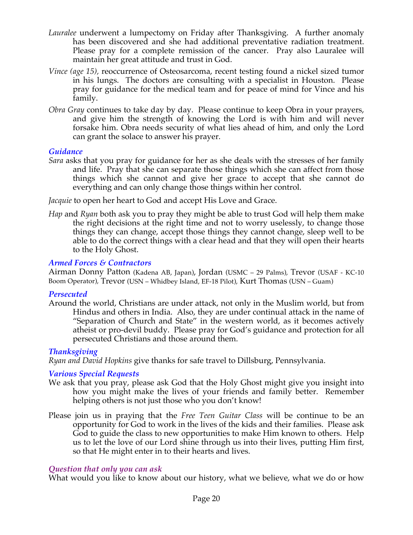- *Lauralee* underwent a lumpectomy on Friday after Thanksgiving. A further anomaly has been discovered and she had additional preventative radiation treatment. Please pray for a complete remission of the cancer. Pray also Lauralee will maintain her great attitude and trust in God.
- *Vince (age 15),* reoccurrence of Osteosarcoma, recent testing found a nickel sized tumor in his lungs. The doctors are consulting with a specialist in Houston. Please pray for guidance for the medical team and for peace of mind for Vince and his family.
- *Obra Gray* continues to take day by day. Please continue to keep Obra in your prayers, and give him the strength of knowing the Lord is with him and will never forsake him. Obra needs security of what lies ahead of him, and only the Lord can grant the solace to answer his prayer.

#### *Guidance*

*Sara* asks that you pray for guidance for her as she deals with the stresses of her family and life. Pray that she can separate those things which she can affect from those things which she cannot and give her grace to accept that she cannot do everything and can only change those things within her control.

*Jacquie* to open her heart to God and accept His Love and Grace.

*Hap* and *Ryan* both ask you to pray they might be able to trust God will help them make the right decisions at the right time and not to worry uselessly, to change those things they can change, accept those things they cannot change, sleep well to be able to do the correct things with a clear head and that they will open their hearts to the Holy Ghost.

## *Armed Forces & Contractors*

Airman Donny Patton (Kadena AB, Japan), Jordan (USMC – 29 Palms), Trevor (USAF - KC-10 Boom Operator), Trevor (USN – Whidbey Island, EF-18 Pilot), Kurt Thomas (USN – Guam)

## *Persecuted*

Around the world, Christians are under attack, not only in the Muslim world, but from Hindus and others in India. Also, they are under continual attack in the name of "Separation of Church and State" in the western world, as it becomes actively atheist or pro-devil buddy. Please pray for God's guidance and protection for all persecuted Christians and those around them.

## *Thanksgiving*

*Ryan and David Hopkins* give thanks for safe travel to Dillsburg, Pennsylvania.

## *Various Special Requests*

- We ask that you pray, please ask God that the Holy Ghost might give you insight into how you might make the lives of your friends and family better. Remember helping others is not just those who you don't know!
- Please join us in praying that the *Free Teen Guitar Class* will be continue to be an opportunity for God to work in the lives of the kids and their families. Please ask God to guide the class to new opportunities to make Him known to others. Help us to let the love of our Lord shine through us into their lives, putting Him first, so that He might enter in to their hearts and lives.

## *Question that only you can ask*

What would you like to know about our history, what we believe, what we do or how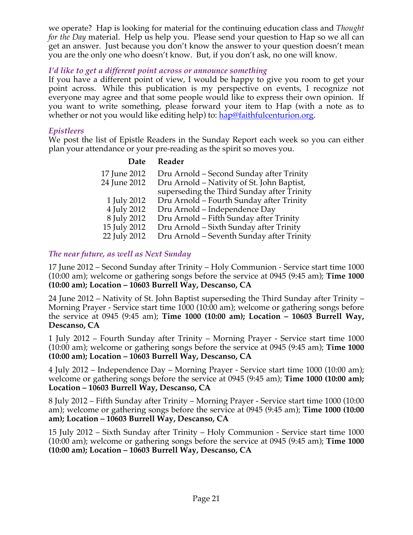we operate? Hap is looking for material for the continuing education class and *Thought for the Day* material. Help us help you. Please send your question to Hap so we all can get an answer. Just because you don't know the answer to your question doesn't mean you are the only one who doesn't know. But, if you don't ask, no one will know.

#### *I'd like to get a different point across or announce something*

If you have a different point of view, I would be happy to give you room to get your point across. While this publication is my perspective on events, I recognize not everyone may agree and that some people would like to express their own opinion. If you want to write something, please forward your item to Hap (with a note as to whether or not you would like editing help) to: hap@faithfulcenturion.org.

### *Epistleers*

We post the list of Epistle Readers in the Sunday Report each week so you can either plan your attendance or your pre-reading as the spirit so moves you.

| Reader                                     |
|--------------------------------------------|
| Dru Arnold – Second Sunday after Trinity   |
| Dru Arnold – Nativity of St. John Baptist, |
| superseding the Third Sunday after Trinity |
| Dru Arnold - Fourth Sunday after Trinity   |
| Dru Arnold – Independence Day              |
| Dru Arnold – Fifth Sunday after Trinity    |
| Dru Arnold – Sixth Sunday after Trinity    |
| Dru Arnold - Seventh Sunday after Trinity  |
|                                            |

## *The near future, as well as Next Sunday*

17 June 2012 – Second Sunday after Trinity – Holy Communion - Service start time 1000 (10:00 am); welcome or gathering songs before the service at 0945 (9:45 am); **Time 1000 (10:00 am); Location – 10603 Burrell Way, Descanso, CA**

24 June 2012 – Nativity of St. John Baptist superseding the Third Sunday after Trinity – Morning Prayer - Service start time 1000 (10:00 am); welcome or gathering songs before the service at 0945 (9:45 am); **Time 1000 (10:00 am); Location – 10603 Burrell Way, Descanso, CA**

1 July 2012 – Fourth Sunday after Trinity – Morning Prayer - Service start time 1000 (10:00 am); welcome or gathering songs before the service at 0945 (9:45 am); **Time 1000 (10:00 am); Location – 10603 Burrell Way, Descanso, CA**

4 July 2012 – Independence Day – Morning Prayer - Service start time 1000 (10:00 am); welcome or gathering songs before the service at 0945 (9:45 am); **Time 1000 (10:00 am); Location – 10603 Burrell Way, Descanso, CA**

8 July 2012 – Fifth Sunday after Trinity – Morning Prayer - Service start time 1000 (10:00 am); welcome or gathering songs before the service at 0945 (9:45 am); **Time 1000 (10:00 am); Location – 10603 Burrell Way, Descanso, CA**

15 July 2012 – Sixth Sunday after Trinity – Holy Communion - Service start time 1000 (10:00 am); welcome or gathering songs before the service at 0945 (9:45 am); **Time 1000 (10:00 am); Location – 10603 Burrell Way, Descanso, CA**